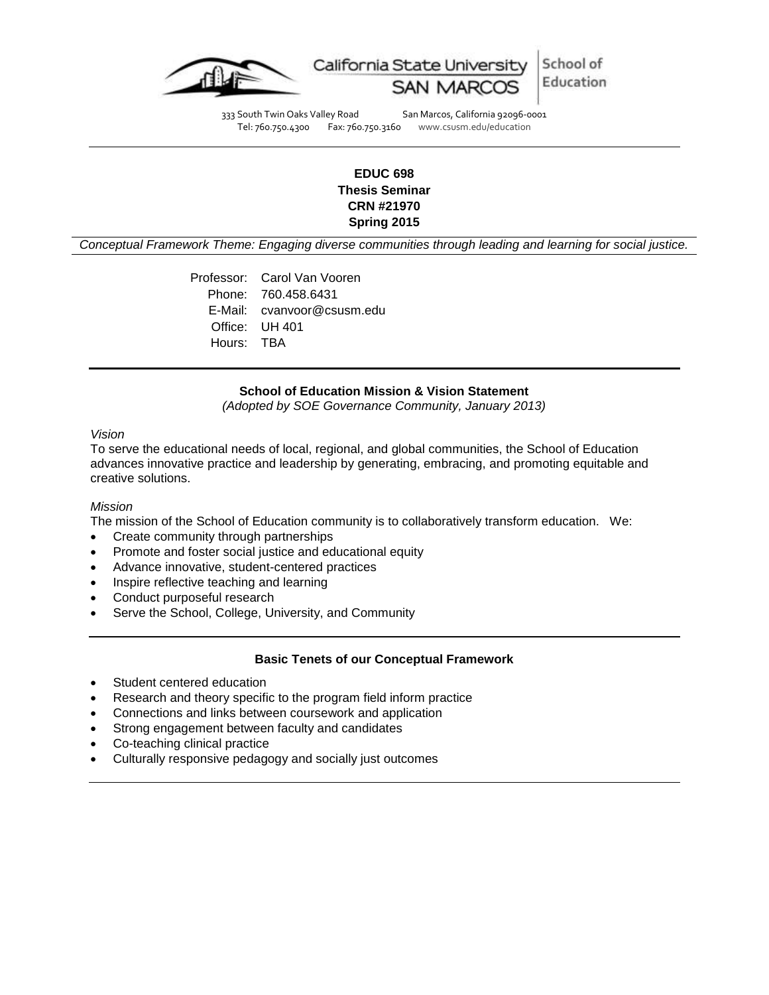

333 South Twin Oaks Valley Road San Marcos, California 92096-0001<br>Tel: 760.750.4300 Fax: 760.750.3160 www.csusm.edu/education Tel: 760.750.4300 Fax: 760.750.3160 www.csusm.edu/education

# **EDUC 698 Thesis Seminar CRN #21970 Spring 2015**

*Conceptual Framework Theme: Engaging diverse communities through leading and learning for social justice.*

Professor: Carol Van Vooren Phone: 760.458.6431 E-Mail: cvanvoor@csusm.edu Office: UH 401 Hours: TBA

#### **School of Education Mission & Vision Statement**

*(Adopted by SOE Governance Community, January 2013)*

#### *Vision*

To serve the educational needs of local, regional, and global communities, the School of Education advances innovative practice and leadership by generating, embracing, and promoting equitable and creative solutions.

#### *Mission*

The mission of the School of Education community is to collaboratively transform education. We:

- Create community through partnerships
- Promote and foster social justice and educational equity
- Advance innovative, student-centered practices
- Inspire reflective teaching and learning
- Conduct purposeful research
- Serve the School, College, University, and Community

#### **Basic Tenets of our Conceptual Framework**

- Student centered education
- Research and theory specific to the program field inform practice
- Connections and links between coursework and application
- Strong engagement between faculty and candidates
- Co-teaching clinical practice
- Culturally responsive pedagogy and socially just outcomes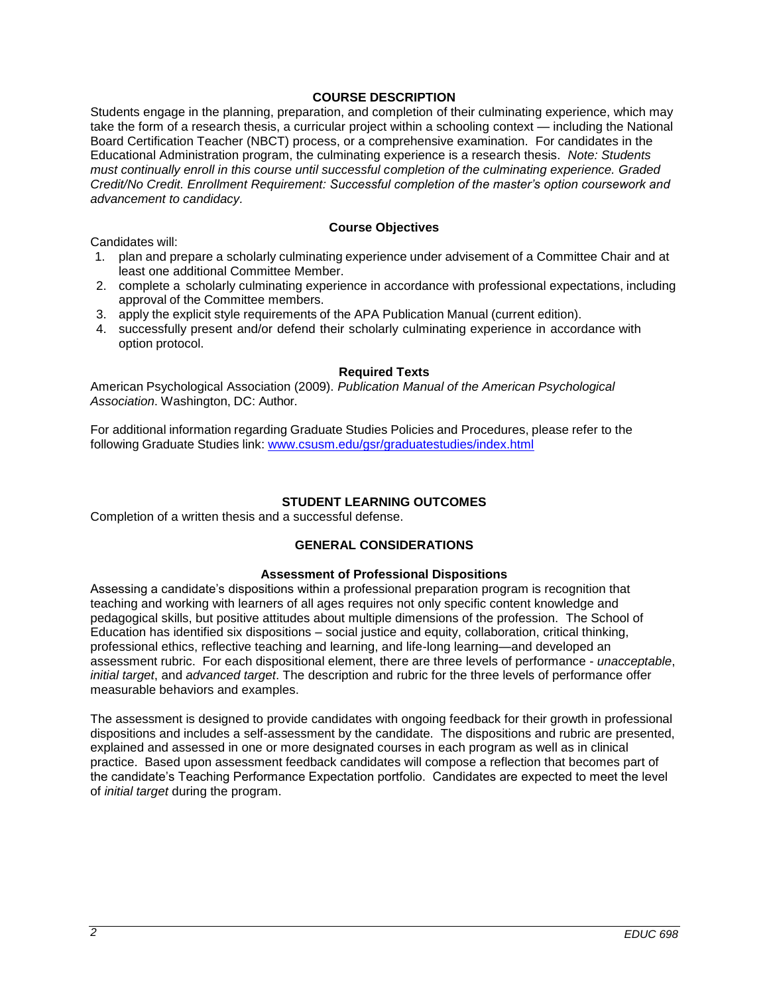## **COURSE DESCRIPTION**

Students engage in the planning, preparation, and completion of their culminating experience, which may take the form of a research thesis, a curricular project within a schooling context — including the National Board Certification Teacher (NBCT) process, or a comprehensive examination. For candidates in the Educational Administration program, the culminating experience is a research thesis. *Note: Students must continually enroll in this course until successful completion of the culminating experience. Graded Credit/No Credit. Enrollment Requirement: Successful completion of the master's option coursework and advancement to candidacy.*

### **Course Objectives**

Candidates will:

- 1. plan and prepare a scholarly culminating experience under advisement of a Committee Chair and at least one additional Committee Member.
- 2. complete a scholarly culminating experience in accordance with professional expectations, including approval of the Committee members.
- 3. apply the explicit style requirements of the APA Publication Manual (current edition).
- 4. successfully present and/or defend their scholarly culminating experience in accordance with option protocol.

## **Required Texts**

American Psychological Association (2009). *Publication Manual of the American Psychological Association*. Washington, DC: Author.

For additional information regarding Graduate Studies Policies and Procedures, please refer to the following Graduate Studies link: [www.csusm.edu/gsr/graduatestudies/index.html](http://www.csusm.edu/gsr/graduatestudies/index.html)

## **STUDENT LEARNING OUTCOMES**

Completion of a written thesis and a successful defense.

# **GENERAL CONSIDERATIONS**

#### **Assessment of Professional Dispositions**

Assessing a candidate's dispositions within a professional preparation program is recognition that teaching and working with learners of all ages requires not only specific content knowledge and pedagogical skills, but positive attitudes about multiple dimensions of the profession. The School of Education has identified six dispositions – social justice and equity, collaboration, critical thinking, professional ethics, reflective teaching and learning, and life-long learning—and developed an assessment rubric. For each dispositional element, there are three levels of performance - *unacceptable*, *initial target*, and *advanced target*. The description and rubric for the three levels of performance offer measurable behaviors and examples.

The assessment is designed to provide candidates with ongoing feedback for their growth in professional dispositions and includes a self-assessment by the candidate. The dispositions and rubric are presented, explained and assessed in one or more designated courses in each program as well as in clinical practice. Based upon assessment feedback candidates will compose a reflection that becomes part of the candidate's Teaching Performance Expectation portfolio. Candidates are expected to meet the level of *initial target* during the program.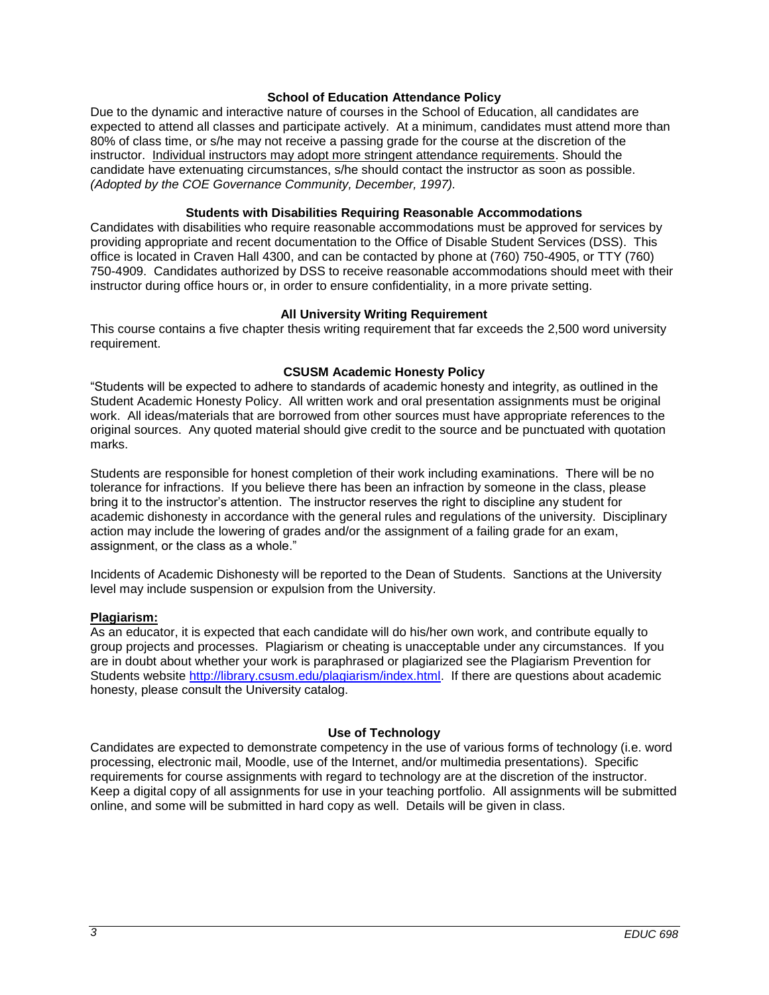#### **School of Education Attendance Policy**

Due to the dynamic and interactive nature of courses in the School of Education, all candidates are expected to attend all classes and participate actively. At a minimum, candidates must attend more than 80% of class time, or s/he may not receive a passing grade for the course at the discretion of the instructor. Individual instructors may adopt more stringent attendance requirements. Should the candidate have extenuating circumstances, s/he should contact the instructor as soon as possible. *(Adopted by the COE Governance Community, December, 1997).*

### **Students with Disabilities Requiring Reasonable Accommodations**

Candidates with disabilities who require reasonable accommodations must be approved for services by providing appropriate and recent documentation to the Office of Disable Student Services (DSS). This office is located in Craven Hall 4300, and can be contacted by phone at (760) 750-4905, or TTY (760) 750-4909. Candidates authorized by DSS to receive reasonable accommodations should meet with their instructor during office hours or, in order to ensure confidentiality, in a more private setting.

## **All University Writing Requirement**

This course contains a five chapter thesis writing requirement that far exceeds the 2,500 word university requirement.

## **CSUSM Academic Honesty Policy**

"Students will be expected to adhere to standards of academic honesty and integrity, as outlined in the Student Academic Honesty Policy. All written work and oral presentation assignments must be original work. All ideas/materials that are borrowed from other sources must have appropriate references to the original sources. Any quoted material should give credit to the source and be punctuated with quotation marks.

Students are responsible for honest completion of their work including examinations. There will be no tolerance for infractions. If you believe there has been an infraction by someone in the class, please bring it to the instructor's attention. The instructor reserves the right to discipline any student for academic dishonesty in accordance with the general rules and regulations of the university. Disciplinary action may include the lowering of grades and/or the assignment of a failing grade for an exam, assignment, or the class as a whole."

Incidents of Academic Dishonesty will be reported to the Dean of Students. Sanctions at the University level may include suspension or expulsion from the University.

#### **Plagiarism:**

As an educator, it is expected that each candidate will do his/her own work, and contribute equally to group projects and processes. Plagiarism or cheating is unacceptable under any circumstances. If you are in doubt about whether your work is paraphrased or plagiarized see the Plagiarism Prevention for Students website [http://library.csusm.edu/plagiarism/index.html.](http://library.csusm.edu/plagiarism/index.html) If there are questions about academic honesty, please consult the University catalog.

## **Use of Technology**

Candidates are expected to demonstrate competency in the use of various forms of technology (i.e. word processing, electronic mail, Moodle, use of the Internet, and/or multimedia presentations). Specific requirements for course assignments with regard to technology are at the discretion of the instructor. Keep a digital copy of all assignments for use in your teaching portfolio. All assignments will be submitted online, and some will be submitted in hard copy as well. Details will be given in class.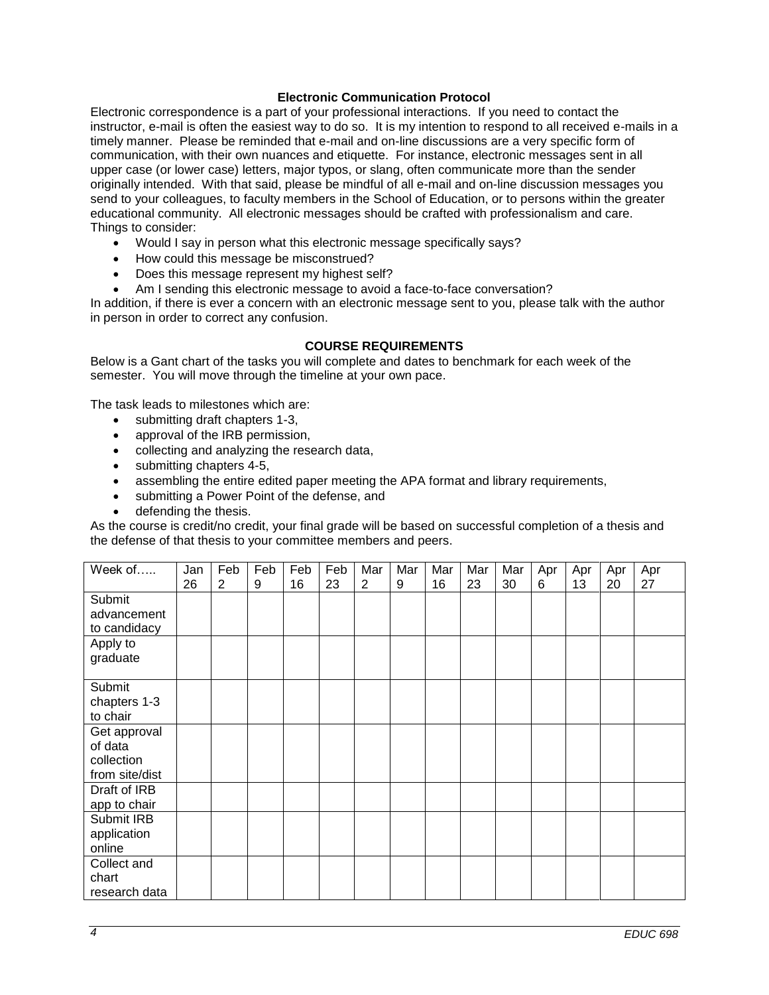### **Electronic Communication Protocol**

Electronic correspondence is a part of your professional interactions. If you need to contact the instructor, e-mail is often the easiest way to do so. It is my intention to respond to all received e-mails in a timely manner. Please be reminded that e-mail and on-line discussions are a very specific form of communication, with their own nuances and etiquette. For instance, electronic messages sent in all upper case (or lower case) letters, major typos, or slang, often communicate more than the sender originally intended. With that said, please be mindful of all e-mail and on-line discussion messages you send to your colleagues, to faculty members in the School of Education, or to persons within the greater educational community. All electronic messages should be crafted with professionalism and care. Things to consider:

- Would I say in person what this electronic message specifically says?
- How could this message be misconstrued?
- Does this message represent my highest self?
- Am I sending this electronic message to avoid a face-to-face conversation?

In addition, if there is ever a concern with an electronic message sent to you, please talk with the author in person in order to correct any confusion.

## **COURSE REQUIREMENTS**

Below is a Gant chart of the tasks you will complete and dates to benchmark for each week of the semester. You will move through the timeline at your own pace.

The task leads to milestones which are:

- submitting draft chapters 1-3,
- approval of the IRB permission,
- collecting and analyzing the research data,
- submitting chapters 4-5,
- assembling the entire edited paper meeting the APA format and library requirements,
- submitting a Power Point of the defense, and
- defending the thesis.

As the course is credit/no credit, your final grade will be based on successful completion of a thesis and the defense of that thesis to your committee members and peers.

| Week of        | Jan | Feb | Feb | Feb | Feb | Mar            | Mar | Mar | Mar | Mar | Apr | Apr | Apr | Apr |
|----------------|-----|-----|-----|-----|-----|----------------|-----|-----|-----|-----|-----|-----|-----|-----|
|                | 26  | 2   | 9   | 16  | 23  | $\overline{2}$ | 9   | 16  | 23  | 30  | 6   | 13  | 20  | 27  |
| Submit         |     |     |     |     |     |                |     |     |     |     |     |     |     |     |
| advancement    |     |     |     |     |     |                |     |     |     |     |     |     |     |     |
| to candidacy   |     |     |     |     |     |                |     |     |     |     |     |     |     |     |
| Apply to       |     |     |     |     |     |                |     |     |     |     |     |     |     |     |
| graduate       |     |     |     |     |     |                |     |     |     |     |     |     |     |     |
|                |     |     |     |     |     |                |     |     |     |     |     |     |     |     |
| Submit         |     |     |     |     |     |                |     |     |     |     |     |     |     |     |
| chapters 1-3   |     |     |     |     |     |                |     |     |     |     |     |     |     |     |
| to chair       |     |     |     |     |     |                |     |     |     |     |     |     |     |     |
| Get approval   |     |     |     |     |     |                |     |     |     |     |     |     |     |     |
| of data        |     |     |     |     |     |                |     |     |     |     |     |     |     |     |
| collection     |     |     |     |     |     |                |     |     |     |     |     |     |     |     |
| from site/dist |     |     |     |     |     |                |     |     |     |     |     |     |     |     |
| Draft of IRB   |     |     |     |     |     |                |     |     |     |     |     |     |     |     |
| app to chair   |     |     |     |     |     |                |     |     |     |     |     |     |     |     |
| Submit IRB     |     |     |     |     |     |                |     |     |     |     |     |     |     |     |
| application    |     |     |     |     |     |                |     |     |     |     |     |     |     |     |
| online         |     |     |     |     |     |                |     |     |     |     |     |     |     |     |
| Collect and    |     |     |     |     |     |                |     |     |     |     |     |     |     |     |
| chart          |     |     |     |     |     |                |     |     |     |     |     |     |     |     |
| research data  |     |     |     |     |     |                |     |     |     |     |     |     |     |     |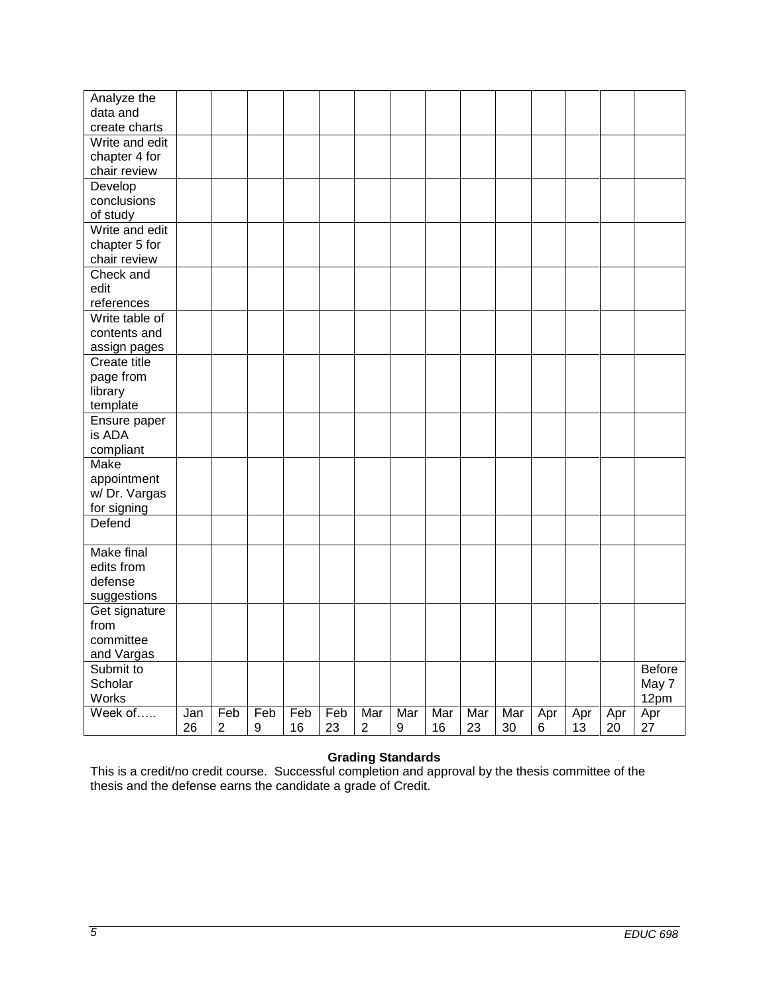| Analyze the<br>data and<br>create charts<br>Write and edit<br>chapter 4 for<br>chair review<br>Develop<br>conclusions<br>of study<br>Write and edit<br>chapter 5 for<br>chair review<br>Check and<br>edit<br>references<br>Write table of<br>contents and<br>assign pages<br><b>Create title</b><br>page from<br>library<br>template<br>Ensure paper<br>is ADA |
|----------------------------------------------------------------------------------------------------------------------------------------------------------------------------------------------------------------------------------------------------------------------------------------------------------------------------------------------------------------|
|                                                                                                                                                                                                                                                                                                                                                                |
|                                                                                                                                                                                                                                                                                                                                                                |
|                                                                                                                                                                                                                                                                                                                                                                |
|                                                                                                                                                                                                                                                                                                                                                                |
|                                                                                                                                                                                                                                                                                                                                                                |
|                                                                                                                                                                                                                                                                                                                                                                |
|                                                                                                                                                                                                                                                                                                                                                                |
|                                                                                                                                                                                                                                                                                                                                                                |
|                                                                                                                                                                                                                                                                                                                                                                |
|                                                                                                                                                                                                                                                                                                                                                                |
|                                                                                                                                                                                                                                                                                                                                                                |
|                                                                                                                                                                                                                                                                                                                                                                |
|                                                                                                                                                                                                                                                                                                                                                                |
|                                                                                                                                                                                                                                                                                                                                                                |
|                                                                                                                                                                                                                                                                                                                                                                |
|                                                                                                                                                                                                                                                                                                                                                                |
|                                                                                                                                                                                                                                                                                                                                                                |
|                                                                                                                                                                                                                                                                                                                                                                |
|                                                                                                                                                                                                                                                                                                                                                                |
|                                                                                                                                                                                                                                                                                                                                                                |
|                                                                                                                                                                                                                                                                                                                                                                |
|                                                                                                                                                                                                                                                                                                                                                                |
|                                                                                                                                                                                                                                                                                                                                                                |
|                                                                                                                                                                                                                                                                                                                                                                |
| compliant                                                                                                                                                                                                                                                                                                                                                      |
| <b>Make</b>                                                                                                                                                                                                                                                                                                                                                    |
| appointment                                                                                                                                                                                                                                                                                                                                                    |
| w/ Dr. Vargas                                                                                                                                                                                                                                                                                                                                                  |
| for signing                                                                                                                                                                                                                                                                                                                                                    |
| Defend                                                                                                                                                                                                                                                                                                                                                         |
|                                                                                                                                                                                                                                                                                                                                                                |
| <b>Make final</b>                                                                                                                                                                                                                                                                                                                                              |
| edits from                                                                                                                                                                                                                                                                                                                                                     |
| defense                                                                                                                                                                                                                                                                                                                                                        |
| suggestions                                                                                                                                                                                                                                                                                                                                                    |
| Get signature                                                                                                                                                                                                                                                                                                                                                  |
| from                                                                                                                                                                                                                                                                                                                                                           |
| committee                                                                                                                                                                                                                                                                                                                                                      |
| and Vargas                                                                                                                                                                                                                                                                                                                                                     |
| Submit to<br>Before                                                                                                                                                                                                                                                                                                                                            |
| Scholar<br>May 7                                                                                                                                                                                                                                                                                                                                               |
| Works<br>12pm                                                                                                                                                                                                                                                                                                                                                  |
| Week of<br>Feb<br>Feb<br>Feb<br>Feb<br>Mar<br>Mar<br>Mar<br>Jan<br>Mar<br>Mar<br>Apr<br>Apr<br>Apr<br>Apr                                                                                                                                                                                                                                                      |
| 23<br>$\overline{2}$<br>9<br>16<br>23<br>$\overline{2}$<br>9<br>16<br>30<br>$6\phantom{1}6$<br>13<br>20<br>27<br>26                                                                                                                                                                                                                                            |

#### **Grading Standards**

This is a credit/no credit course. Successful completion and approval by the thesis committee of the thesis and the defense earns the candidate a grade of Credit.